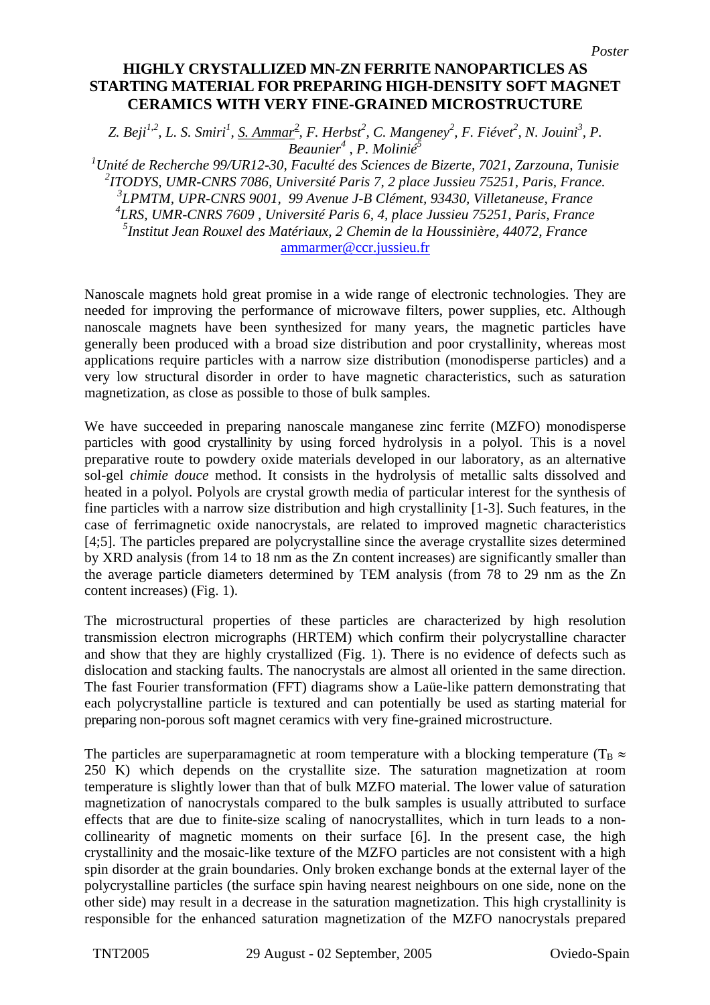*Z. Beji<sup>1,2</sup>, L. S. Smiri<sup>1</sup>, <u>S. Ammar<sup>2</sup></u>, F. Herbst<sup>2</sup>, C. Mangeney<sup>2</sup>, F. Fiévet<sup>2</sup>, N. Jouini<sup>3</sup>, P. Beaunier4 , P. Molinié<sup>5</sup>*

 *Unité de Recherche 99/UR12-30, Faculté des Sciences de Bizerte, 7021, Zarzouna, Tunisie ITODYS, UMR-CNRS 7086, Université Paris 7, 2 place Jussieu 75251, Paris, France. LPMTM, UPR-CNRS 9001, 99 Avenue J-B Clément, 93430, Villetaneuse, France LRS, UMR-CNRS 7609 , Université Paris 6, 4, place Jussieu 75251, Paris, France Institut Jean Rouxel des Matériaux, 2 Chemin de la Houssinière, 44072, France*  [ammarmer@ccr.jussieu.fr](mailto:ammarmer@ccr.jussieu.fr)

Nanoscale magnets hold great promise in a wide range of electronic technologies. They are needed for improving the performance of microwave filters, power supplies, etc. Although nanoscale magnets have been synthesized for many years, the magnetic particles have generally been produced with a broad size distribution and poor crystallinity, whereas most applications require particles with a narrow size distribution (monodisperse particles) and a very low structural disorder in order to have magnetic characteristics, such as saturation magnetization, as close as possible to those of bulk samples.

We have succeeded in preparing nanoscale manganese zinc ferrite (MZFO) monodisperse particles with good crystallinity by using forced hydrolysis in a polyol. This is a novel preparative route to powdery oxide materials developed in our laboratory, as an alternative sol-gel *chimie douce* method. It consists in the hydrolysis of metallic salts dissolved and heated in a polyol. Polyols are crystal growth media of particular interest for the synthesis of fine particles with a narrow size distribution and high crystallinity [1-3]. Such features, in the case of ferrimagnetic oxide nanocrystals, are related to improved magnetic characteristics [4;5]. The particles prepared are polycrystalline since the average crystallite sizes determined by XRD analysis (from 14 to 18 nm as the Zn content increases) are significantly smaller than the average particle diameters determined by TEM analysis (from 78 to 29 nm as the Zn content increases) (Fig. 1).

The microstructural properties of these particles are characterized by high resolution transmission electron micrographs (HRTEM) which confirm their polycrystalline character and show that they are highly crystallized (Fig. 1). There is no evidence of defects such as dislocation and stacking faults. The nanocrystals are almost all oriented in the same direction. The fast Fourier transformation (FFT) diagrams show a Laüe-like pattern demonstrating that each polycrystalline particle is textured and can potentially be used as starting material for preparing non-porous soft magnet ceramics with very fine-grained microstructure.

The particles are superparamagnetic at room temperature with a blocking temperature ( $T_B \approx$ 250 K) which depends on the crystallite size. The saturation magnetization at room temperature is slightly lower than that of bulk MZFO material. The lower value of saturation magnetization of nanocrystals compared to the bulk samples is usually attributed to surface effects that are due to finite-size scaling of nanocrystallites, which in turn leads to a noncollinearity of magnetic moments on their surface [6]. In the present case, the high crystallinity and the mosaic-like texture of the MZFO particles are not consistent with a high spin disorder at the grain boundaries. Only broken exchange bonds at the external layer of the polycrystalline particles (the surface spin having nearest neighbours on one side, none on the other side) may result in a decrease in the saturation magnetization. This high crystallinity is responsible for the enhanced saturation magnetization of the MZFO nanocrystals prepared

*Poster*